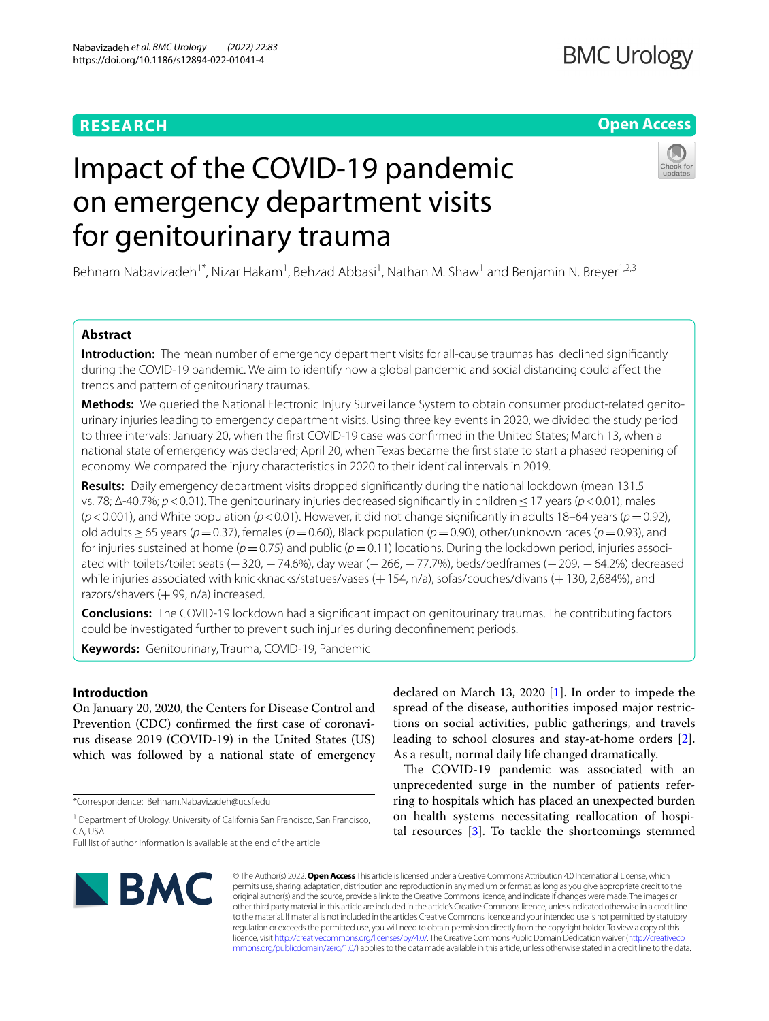# **RESEARCH**

# **Open Access**

# Impact of the COVID-19 pandemic on emergency department visits for genitourinary trauma

Behnam Nabavizadeh<sup>1\*</sup>, Nizar Hakam<sup>1</sup>, Behzad Abbasi<sup>1</sup>, Nathan M. Shaw<sup>1</sup> and Benjamin N. Breyer<sup>1,2,3</sup>

# **Abstract**

**Introduction:** The mean number of emergency department visits for all-cause traumas has declined significantly during the COVID-19 pandemic. We aim to identify how a global pandemic and social distancing could afect the trends and pattern of genitourinary traumas.

**Methods:** We queried the National Electronic Injury Surveillance System to obtain consumer product-related genitourinary injuries leading to emergency department visits. Using three key events in 2020, we divided the study period to three intervals: January 20, when the frst COVID-19 case was confrmed in the United States; March 13, when a national state of emergency was declared; April 20, when Texas became the frst state to start a phased reopening of economy. We compared the injury characteristics in 2020 to their identical intervals in 2019.

**Results:** Daily emergency department visits dropped signifcantly during the national lockdown (mean 131.5 vs. 78; Δ-40.7%; *p*<0.01). The genitourinary injuries decreased signifcantly in children≤17 years (*p*<0.01), males (*p*<0.001), and White population (*p*<0.01). However, it did not change signifcantly in adults 18–64 years (*p*=0.92), old adults≥65 years (*p*=0.37), females (*p*=0.60), Black population (*p*=0.90), other/unknown races (*p*=0.93), and for injuries sustained at home (*p*=0.75) and public (*p*=0.11) locations. During the lockdown period, injuries associated with toilets/toilet seats (−320, −74.6%), day wear (−266, −77.7%), beds/bedframes (−209, −64.2%) decreased while injuries associated with knickknacks/statues/vases (+154, n/a), sofas/couches/divans (+130, 2,684%), and razors/shavers  $(+99, n/a)$  increased.

**Conclusions:** The COVID-19 lockdown had a signifcant impact on genitourinary traumas. The contributing factors could be investigated further to prevent such injuries during deconfnement periods.

**Keywords:** Genitourinary, Trauma, COVID-19, Pandemic

# **Introduction**

On January 20, 2020, the Centers for Disease Control and Prevention (CDC) confrmed the frst case of coronavirus disease 2019 (COVID-19) in the United States (US) which was followed by a national state of emergency

\*Correspondence: Behnam.Nabavizadeh@ucsf.edu

<sup>1</sup> Department of Urology, University of California San Francisco, San Francisco, CA, USA

declared on March 13, 2020 [[1\]](#page-5-0). In order to impede the spread of the disease, authorities imposed major restrictions on social activities, public gatherings, and travels leading to school closures and stay-at-home orders [\[2](#page-5-1)]. As a result, normal daily life changed dramatically.

The COVID-19 pandemic was associated with an unprecedented surge in the number of patients referring to hospitals which has placed an unexpected burden on health systems necessitating reallocation of hospital resources [[3\]](#page-5-2). To tackle the shortcomings stemmed



© The Author(s) 2022. **Open Access** This article is licensed under a Creative Commons Attribution 4.0 International License, which permits use, sharing, adaptation, distribution and reproduction in any medium or format, as long as you give appropriate credit to the original author(s) and the source, provide a link to the Creative Commons licence, and indicate if changes were made. The images or other third party material in this article are included in the article's Creative Commons licence, unless indicated otherwise in a credit line to the material. If material is not included in the article's Creative Commons licence and your intended use is not permitted by statutory regulation or exceeds the permitted use, you will need to obtain permission directly from the copyright holder. To view a copy of this licence, visit [http://creativecommons.org/licenses/by/4.0/.](http://creativecommons.org/licenses/by/4.0/) The Creative Commons Public Domain Dedication waiver ([http://creativeco](http://creativecommons.org/publicdomain/zero/1.0/) [mmons.org/publicdomain/zero/1.0/](http://creativecommons.org/publicdomain/zero/1.0/)) applies to the data made available in this article, unless otherwise stated in a credit line to the data.

Full list of author information is available at the end of the article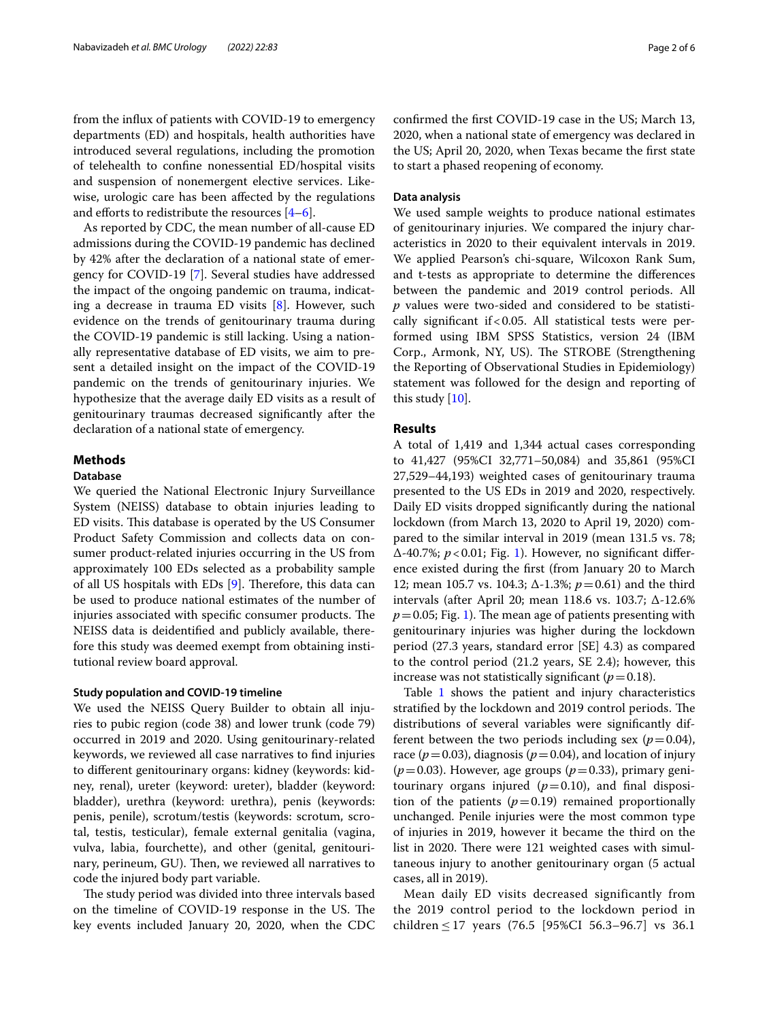from the infux of patients with COVID-19 to emergency departments (ED) and hospitals, health authorities have introduced several regulations, including the promotion of telehealth to confne nonessential ED/hospital visits and suspension of nonemergent elective services. Likewise, urologic care has been afected by the regulations and efforts to redistribute the resources  $[4-6]$  $[4-6]$ .

As reported by CDC, the mean number of all-cause ED admissions during the COVID-19 pandemic has declined by 42% after the declaration of a national state of emergency for COVID-19 [\[7](#page-5-5)]. Several studies have addressed the impact of the ongoing pandemic on trauma, indicating a decrease in trauma ED visits [\[8](#page-5-6)]. However, such evidence on the trends of genitourinary trauma during the COVID-19 pandemic is still lacking. Using a nationally representative database of ED visits, we aim to present a detailed insight on the impact of the COVID-19 pandemic on the trends of genitourinary injuries. We hypothesize that the average daily ED visits as a result of genitourinary traumas decreased signifcantly after the declaration of a national state of emergency.

# **Methods**

## **Database**

We queried the National Electronic Injury Surveillance System (NEISS) database to obtain injuries leading to ED visits. This database is operated by the US Consumer Product Safety Commission and collects data on consumer product-related injuries occurring in the US from approximately 100 EDs selected as a probability sample of all US hospitals with EDs  $[9]$  $[9]$ . Therefore, this data can be used to produce national estimates of the number of injuries associated with specific consumer products. The NEISS data is deidentifed and publicly available, therefore this study was deemed exempt from obtaining institutional review board approval.

### **Study population and COVID‑19 timeline**

We used the NEISS Query Builder to obtain all injuries to pubic region (code 38) and lower trunk (code 79) occurred in 2019 and 2020. Using genitourinary-related keywords, we reviewed all case narratives to fnd injuries to diferent genitourinary organs: kidney (keywords: kidney, renal), ureter (keyword: ureter), bladder (keyword: bladder), urethra (keyword: urethra), penis (keywords: penis, penile), scrotum/testis (keywords: scrotum, scrotal, testis, testicular), female external genitalia (vagina, vulva, labia, fourchette), and other (genital, genitourinary, perineum, GU). Then, we reviewed all narratives to code the injured body part variable.

The study period was divided into three intervals based on the timeline of COVID-19 response in the US. The key events included January 20, 2020, when the CDC confrmed the frst COVID-19 case in the US; March 13, 2020, when a national state of emergency was declared in the US; April 20, 2020, when Texas became the frst state to start a phased reopening of economy.

# **Data analysis**

We used sample weights to produce national estimates of genitourinary injuries. We compared the injury characteristics in 2020 to their equivalent intervals in 2019. We applied Pearson's chi-square, Wilcoxon Rank Sum, and t-tests as appropriate to determine the diferences between the pandemic and 2019 control periods. All *p* values were two-sided and considered to be statistically significant if  $< 0.05$ . All statistical tests were performed using IBM SPSS Statistics, version 24 (IBM Corp., Armonk, NY, US). The STROBE (Strengthening the Reporting of Observational Studies in Epidemiology) statement was followed for the design and reporting of this study [[10\]](#page-5-8).

# **Results**

A total of 1,419 and 1,344 actual cases corresponding to 41,427 (95%CI 32,771–50,084) and 35,861 (95%CI 27,529–44,193) weighted cases of genitourinary trauma presented to the US EDs in 2019 and 2020, respectively. Daily ED visits dropped signifcantly during the national lockdown (from March 13, 2020 to April 19, 2020) compared to the similar interval in 2019 (mean 131.5 vs. 78; Δ-40.7%; *p*<0.01; Fig. [1](#page-2-0)). However, no signifcant diference existed during the frst (from January 20 to March 12; mean 105.7 vs. 104.3; Δ-1.3%; *p*=0.61) and the third intervals (after April 20; mean 118.6 vs. 103.7; Δ-12.6%  $p=0.05$ ; Fig. [1](#page-2-0)). The mean age of patients presenting with genitourinary injuries was higher during the lockdown period (27.3 years, standard error [SE] 4.3) as compared to the control period (21.2 years, SE 2.4); however, this increase was not statistically significant  $(p=0.18)$ .

Table [1](#page-3-0) shows the patient and injury characteristics stratified by the lockdown and 2019 control periods. The distributions of several variables were signifcantly different between the two periods including sex ( $p=0.04$ ), race ( $p = 0.03$ ), diagnosis ( $p = 0.04$ ), and location of injury  $(p=0.03)$ . However, age groups  $(p=0.33)$ , primary genitourinary organs injured  $(p=0.10)$ , and final disposition of the patients  $(p=0.19)$  remained proportionally unchanged. Penile injuries were the most common type of injuries in 2019, however it became the third on the list in 2020. There were 121 weighted cases with simultaneous injury to another genitourinary organ (5 actual cases, all in 2019).

Mean daily ED visits decreased significantly from the 2019 control period to the lockdown period in children  $\leq$  17 years (76.5 [95%CI 56.3–96.7] vs 36.1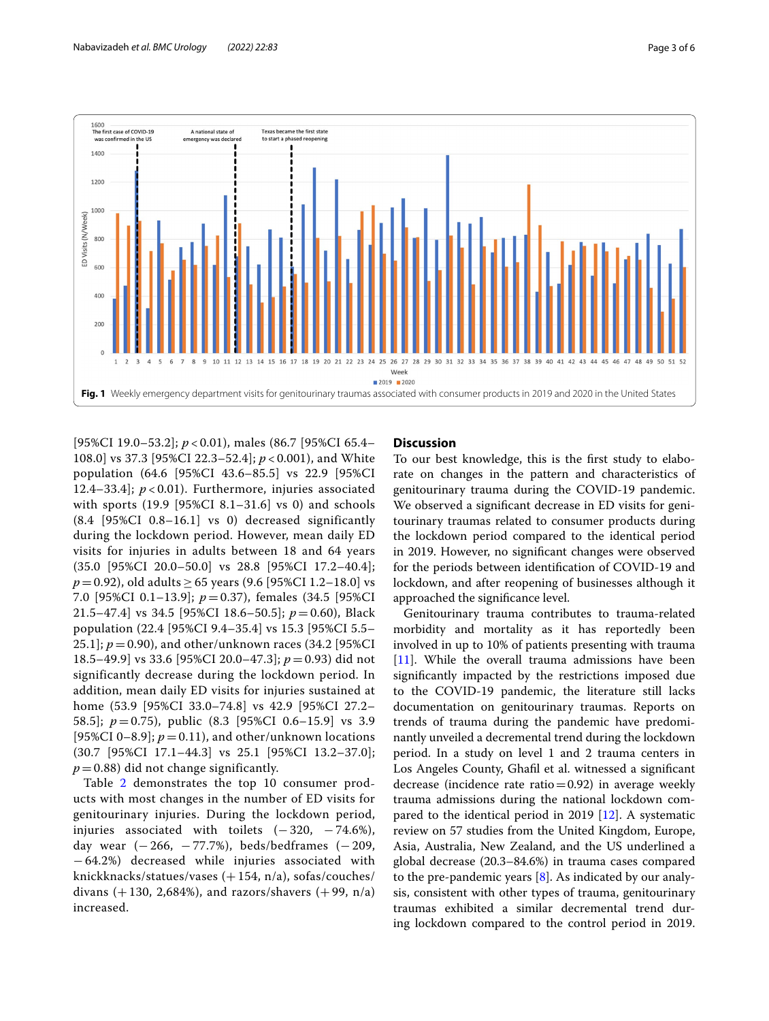

<span id="page-2-0"></span>[95%CI 19.0–53.2]; *p* < 0.01), males (86.7 [95%CI 65.4– 108.0] vs 37.3 [95%CI 22.3–52.4]; *p* < 0.001), and White population (64.6 [95%CI 43.6–85.5] vs 22.9 [95%CI 12.4–33.4]; *p* < 0.01). Furthermore, injuries associated with sports (19.9 [95%CI 8.1–31.6] vs 0) and schools (8.4 [95%CI 0.8–16.1] vs 0) decreased significantly during the lockdown period. However, mean daily ED visits for injuries in adults between 18 and 64 years (35.0 [95%CI 20.0–50.0] vs 28.8 [95%CI 17.2–40.4]; *p* = 0.92), old adults ≥ 65 years (9.6 [95%CI 1.2–18.0] vs 7.0 [95%CI 0.1–13.9]; *p* = 0.37), females (34.5 [95%CI 21.5–47.4] vs 34.5 [95%CI 18.6–50.5]; *p* = 0.60), Black population (22.4 [95%CI 9.4–35.4] vs 15.3 [95%CI 5.5– 25.1]; *p* = 0.90), and other/unknown races (34.2 [95%CI 18.5–49.9] vs 33.6 [95%CI 20.0–47.3]; *p* = 0.93) did not significantly decrease during the lockdown period. In addition, mean daily ED visits for injuries sustained at home (53.9 [95%CI 33.0–74.8] vs 42.9 [95%CI 27.2– 58.5]; *p* = 0.75), public (8.3 [95%CI 0.6–15.9] vs 3.9 [95%CI 0–8.9];  $p = 0.11$ ), and other/unknown locations (30.7 [95%CI 17.1–44.3] vs 25.1 [95%CI 13.2–37.0];  $p = 0.88$ ) did not change significantly.

Table [2](#page-4-0) demonstrates the top 10 consumer products with most changes in the number of ED visits for genitourinary injuries. During the lockdown period, injuries associated with toilets  $(-320, -74.6)$ , day wear  $(-266, -77.7%)$ , beds/bedframes  $(-209,$ − 64.2%) decreased while injuries associated with knickknacks/statues/vases  $(+154, n/a)$ , sofas/couches/ divans  $(+ 130, 2,684%)$ , and razors/shavers  $(+ 99, n/a)$ increased.

# **Discussion**

To our best knowledge, this is the frst study to elaborate on changes in the pattern and characteristics of genitourinary trauma during the COVID-19 pandemic. We observed a signifcant decrease in ED visits for genitourinary traumas related to consumer products during the lockdown period compared to the identical period in 2019. However, no signifcant changes were observed for the periods between identifcation of COVID-19 and lockdown, and after reopening of businesses although it approached the signifcance level.

Genitourinary trauma contributes to trauma-related morbidity and mortality as it has reportedly been involved in up to 10% of patients presenting with trauma [[11\]](#page-5-9). While the overall trauma admissions have been signifcantly impacted by the restrictions imposed due to the COVID-19 pandemic, the literature still lacks documentation on genitourinary traumas. Reports on trends of trauma during the pandemic have predominantly unveiled a decremental trend during the lockdown period. In a study on level 1 and 2 trauma centers in Los Angeles County, Ghafl et al. witnessed a signifcant decrease (incidence rate ratio=0.92) in average weekly trauma admissions during the national lockdown compared to the identical period in 2019 [[12](#page-5-10)]. A systematic review on 57 studies from the United Kingdom, Europe, Asia, Australia, New Zealand, and the US underlined a global decrease (20.3–84.6%) in trauma cases compared to the pre-pandemic years  $[8]$  $[8]$ . As indicated by our analysis, consistent with other types of trauma, genitourinary traumas exhibited a similar decremental trend during lockdown compared to the control period in 2019.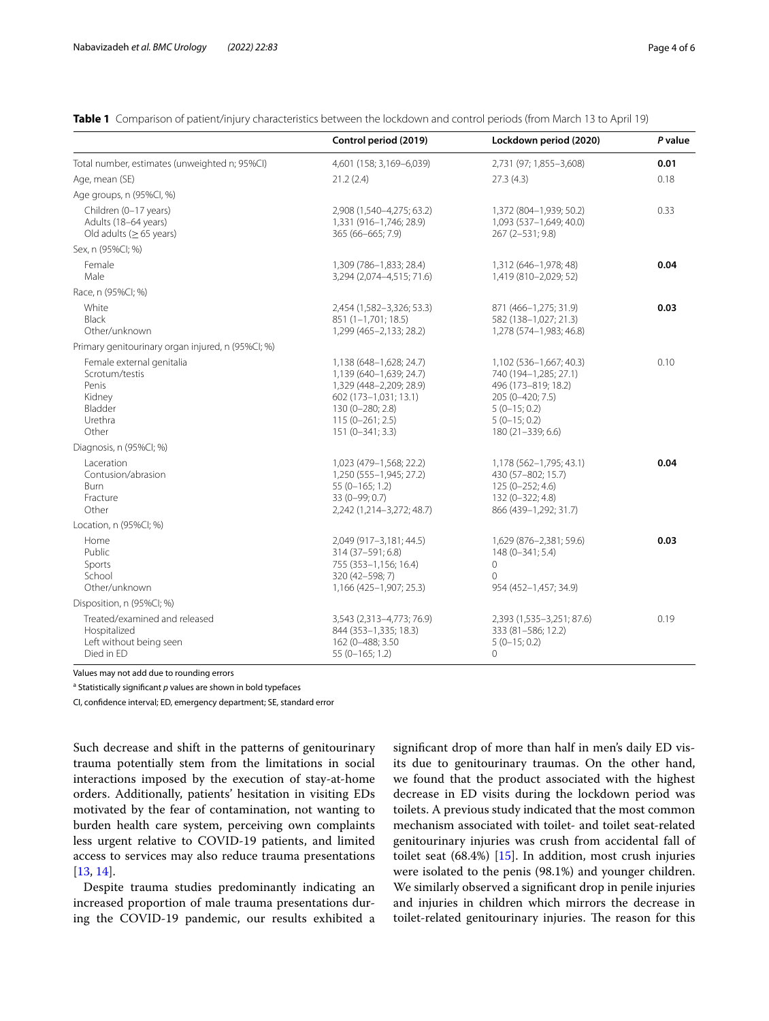<span id="page-3-0"></span>**Table 1** Comparison of patient/injury characteristics between the lockdown and control periods (from March 13 to April 19)

|                                                                                               | Control period (2019)                                                                                                                                                | Lockdown period (2020)                                                                                                                               | P value |
|-----------------------------------------------------------------------------------------------|----------------------------------------------------------------------------------------------------------------------------------------------------------------------|------------------------------------------------------------------------------------------------------------------------------------------------------|---------|
| Total number, estimates (unweighted n; 95%CI)                                                 | 4,601 (158; 3,169-6,039)                                                                                                                                             | 2,731 (97; 1,855-3,608)                                                                                                                              | 0.01    |
| Age, mean (SE)                                                                                | 21.2(2.4)                                                                                                                                                            | 27.3(4.3)                                                                                                                                            | 0.18    |
| Age groups, n (95%Cl, %)                                                                      |                                                                                                                                                                      |                                                                                                                                                      |         |
| Children (0-17 years)<br>Adults (18-64 years)<br>Old adults ( $\geq$ 65 years)                | 2,908 (1,540-4,275; 63.2)<br>1,331 (916-1,746; 28.9)<br>365 (66-665; 7.9)                                                                                            | 1,372 (804-1,939; 50.2)<br>1,093 (537-1,649; 40.0)<br>267 (2-531; 9.8)                                                                               | 0.33    |
| Sex, n (95%Cl; %)                                                                             |                                                                                                                                                                      |                                                                                                                                                      |         |
| Female<br>Male                                                                                | 1,309 (786-1,833; 28.4)<br>3,294 (2,074-4,515; 71.6)                                                                                                                 | 1,312 (646-1,978; 48)<br>1,419 (810-2,029; 52)                                                                                                       | 0.04    |
| Race, n (95%CI; %)                                                                            |                                                                                                                                                                      |                                                                                                                                                      |         |
| White<br>Black<br>Other/unknown                                                               | 2,454 (1,582-3,326; 53.3)<br>851 (1-1,701; 18.5)<br>1,299 (465-2,133; 28.2)                                                                                          | 871 (466-1,275; 31.9)<br>582 (138-1,027; 21.3)<br>1,278 (574-1,983; 46.8)                                                                            | 0.03    |
| Primary genitourinary organ injured, n (95%CI; %)                                             |                                                                                                                                                                      |                                                                                                                                                      |         |
| Female external genitalia<br>Scrotum/testis<br>Penis<br>Kidney<br>Bladder<br>Urethra<br>Other | 1,138 (648-1,628; 24.7)<br>1,139 (640-1,639; 24.7)<br>1,329 (448-2,209; 28.9)<br>602 (173-1,031; 13.1)<br>130 (0-280; 2.8)<br>$115(0-261; 2.5)$<br>$151(0-341; 3.3)$ | 1,102 (536-1,667; 40.3)<br>740 (194-1,285; 27.1)<br>496 (173-819; 18.2)<br>205 (0-420; 7.5)<br>$5(0-15; 0.2)$<br>$5(0-15; 0.2)$<br>180 (21-339; 6.6) | 0.10    |
| Diagnosis, n (95%Cl; %)                                                                       |                                                                                                                                                                      |                                                                                                                                                      |         |
| Laceration<br>Contusion/abrasion<br><b>Burn</b><br>Fracture<br>Other                          | 1,023 (479-1,568; 22.2)<br>1,250 (555-1,945; 27.2)<br>55 (0-165; 1.2)<br>33 (0-99; 0.7)<br>2,242 (1,214-3,272; 48.7)                                                 | 1,178 (562-1,795; 43.1)<br>430 (57-802; 15.7)<br>125 (0-252; 4.6)<br>132 (0-322; 4.8)<br>866 (439-1,292; 31.7)                                       | 0.04    |
| Location, n (95%Cl; %)                                                                        |                                                                                                                                                                      |                                                                                                                                                      |         |
| Home<br>Public<br>Sports<br>School<br>Other/unknown                                           | 2,049 (917-3,181; 44.5)<br>314 (37-591; 6.8)<br>755 (353-1,156; 16.4)<br>320 (42-598; 7)<br>1,166 (425-1,907; 25.3)                                                  | 1,629 (876-2,381; 59.6)<br>148 (0-341; 5.4)<br>$\Omega$<br>$\Omega$<br>954 (452-1,457; 34.9)                                                         | 0.03    |
| Disposition, n (95%CI; %)                                                                     |                                                                                                                                                                      |                                                                                                                                                      |         |
| Treated/examined and released<br>Hospitalized<br>Left without being seen<br>Died in ED        | 3,543 (2,313-4,773; 76.9)<br>844 (353-1,335; 18.3)<br>162 (0-488; 3.50<br>55 (0-165; 1.2)                                                                            | 2,393 (1,535-3,251; 87.6)<br>333 (81-586; 12.2)<br>$5(0-15; 0.2)$<br>$\circ$                                                                         | 0.19    |

Values may not add due to rounding errors

<sup>a</sup> Statistically significant p values are shown in bold typefaces

CI, confdence interval; ED, emergency department; SE, standard error

Such decrease and shift in the patterns of genitourinary trauma potentially stem from the limitations in social interactions imposed by the execution of stay-at-home orders. Additionally, patients' hesitation in visiting EDs motivated by the fear of contamination, not wanting to burden health care system, perceiving own complaints less urgent relative to COVID-19 patients, and limited access to services may also reduce trauma presentations [[13,](#page-5-11) [14](#page-5-12)].

Despite trauma studies predominantly indicating an increased proportion of male trauma presentations during the COVID-19 pandemic, our results exhibited a signifcant drop of more than half in men's daily ED visits due to genitourinary traumas. On the other hand, we found that the product associated with the highest decrease in ED visits during the lockdown period was toilets. A previous study indicated that the most common mechanism associated with toilet- and toilet seat-related genitourinary injuries was crush from accidental fall of toilet seat (68.4%) [\[15](#page-5-13)]. In addition, most crush injuries were isolated to the penis (98.1%) and younger children. We similarly observed a signifcant drop in penile injuries and injuries in children which mirrors the decrease in toilet-related genitourinary injuries. The reason for this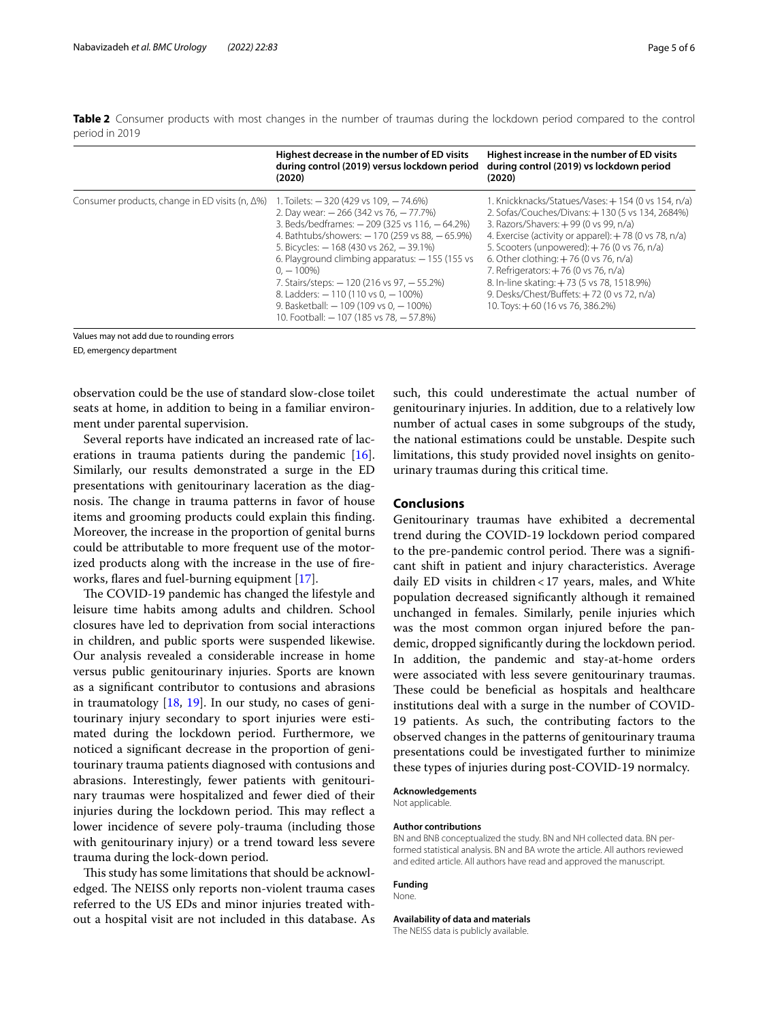<span id="page-4-0"></span>**Table 2** Consumer products with most changes in the number of traumas during the lockdown period compared to the control period in 2019

|                                                        | Highest decrease in the number of ED visits<br>during control (2019) versus lockdown period<br>(2020)                                                                                                                                                                                                                                                                                                                                                                                           | Highest increase in the number of ED visits<br>during control (2019) vs lockdown period<br>(2020)                                                                                                                                                                                                                                                                                                                                                                             |
|--------------------------------------------------------|-------------------------------------------------------------------------------------------------------------------------------------------------------------------------------------------------------------------------------------------------------------------------------------------------------------------------------------------------------------------------------------------------------------------------------------------------------------------------------------------------|-------------------------------------------------------------------------------------------------------------------------------------------------------------------------------------------------------------------------------------------------------------------------------------------------------------------------------------------------------------------------------------------------------------------------------------------------------------------------------|
| Consumer products, change in ED visits $(n, \Delta\%)$ | 1. Toilets: - 320 (429 vs 109, - 74.6%)<br>2. Day wear: - 266 (342 vs 76, -77.7%)<br>3. Beds/bedframes: - 209 (325 vs 116, - 64.2%)<br>4. Bathtubs/showers: - 170 (259 vs 88, -65.9%)<br>5. Bicycles: - 168 (430 vs 262, - 39.1%)<br>6. Playground climbing apparatus: - 155 (155 vs)<br>$0. - 100\%$<br>7. Stairs/steps: - 120 (216 vs 97, - 55.2%)<br>8. Ladders: $-110(110 \text{ vs } 0, -100\%)$<br>9. Basketball: $-109$ (109 vs 0, $-100%$ )<br>10. Football: - 107 (185 vs 78, - 57.8%) | 1. Knickknacks/Statues/Vases: +154 (0 vs 154, n/a)<br>2. Sofas/Couches/Divans: +130 (5 vs 134, 2684%)<br>3. Razors/Shavers: +99 (0 vs 99, n/a)<br>4. Exercise (activity or apparel): $+78$ (0 vs 78, n/a)<br>5. Scooters (unpowered): $+76$ (0 vs 76, n/a)<br>6. Other clothing: $+76$ (0 vs 76, n/a)<br>7. Refrigerators: +76 (0 vs 76, n/a)<br>8. In-line skating: +73 (5 vs 78, 1518.9%)<br>9. Desks/Chest/Buffets: +72 (0 vs 72, n/a)<br>10. Toys: +60 (16 vs 76, 386.2%) |

Values may not add due to rounding errors

ED, emergency department

observation could be the use of standard slow-close toilet seats at home, in addition to being in a familiar environment under parental supervision.

Several reports have indicated an increased rate of lacerations in trauma patients during the pandemic [\[16](#page-5-14)]. Similarly, our results demonstrated a surge in the ED presentations with genitourinary laceration as the diagnosis. The change in trauma patterns in favor of house items and grooming products could explain this fnding. Moreover, the increase in the proportion of genital burns could be attributable to more frequent use of the motorized products along with the increase in the use of freworks, fares and fuel-burning equipment [\[17](#page-5-15)].

The COVID-19 pandemic has changed the lifestyle and leisure time habits among adults and children. School closures have led to deprivation from social interactions in children, and public sports were suspended likewise. Our analysis revealed a considerable increase in home versus public genitourinary injuries. Sports are known as a signifcant contributor to contusions and abrasions in traumatology  $[18, 19]$  $[18, 19]$  $[18, 19]$ . In our study, no cases of genitourinary injury secondary to sport injuries were estimated during the lockdown period. Furthermore, we noticed a signifcant decrease in the proportion of genitourinary trauma patients diagnosed with contusions and abrasions. Interestingly, fewer patients with genitourinary traumas were hospitalized and fewer died of their injuries during the lockdown period. This may reflect a lower incidence of severe poly-trauma (including those with genitourinary injury) or a trend toward less severe trauma during the lock-down period.

This study has some limitations that should be acknowledged. The NEISS only reports non-violent trauma cases referred to the US EDs and minor injuries treated without a hospital visit are not included in this database. As such, this could underestimate the actual number of genitourinary injuries. In addition, due to a relatively low number of actual cases in some subgroups of the study, the national estimations could be unstable. Despite such limitations, this study provided novel insights on genitourinary traumas during this critical time.

# **Conclusions**

Genitourinary traumas have exhibited a decremental trend during the COVID-19 lockdown period compared to the pre-pandemic control period. There was a significant shift in patient and injury characteristics. Average daily ED visits in children<17 years, males, and White population decreased signifcantly although it remained unchanged in females. Similarly, penile injuries which was the most common organ injured before the pandemic, dropped signifcantly during the lockdown period. In addition, the pandemic and stay-at-home orders were associated with less severe genitourinary traumas. These could be beneficial as hospitals and healthcare institutions deal with a surge in the number of COVID-19 patients. As such, the contributing factors to the observed changes in the patterns of genitourinary trauma presentations could be investigated further to minimize these types of injuries during post-COVID-19 normalcy.

# **Acknowledgements**

Not applicable.

#### **Author contributions**

BN and BNB conceptualized the study. BN and NH collected data. BN performed statistical analysis. BN and BA wrote the article. All authors reviewed and edited article. All authors have read and approved the manuscript.

## **Funding**

None.

#### **Availability of data and materials**

The NEISS data is publicly available.